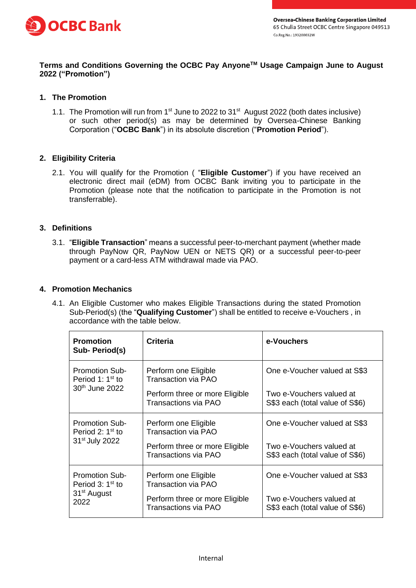

# **Terms and Conditions Governing the OCBC Pay AnyoneTM Usage Campaign June to August 2022 ("Promotion")**

## **1. The Promotion**

1.1. The Promotion will run from 1<sup>st</sup> June to 2022 to 31<sup>st</sup> August 2022 (both dates inclusive) or such other period(s) as may be determined by Oversea-Chinese Banking Corporation ("**OCBC Bank**") in its absolute discretion ("**Promotion Period**").

## **2. Eligibility Criteria**

2.1. You will qualify for the Promotion ( "**Eligible Customer**") if you have received an electronic direct mail (eDM) from OCBC Bank inviting you to participate in the Promotion (please note that the notification to participate in the Promotion is not transferrable).

#### **3. Definitions**

3.1. "**Eligible Transaction**" means a successful peer-to-merchant payment (whether made through PayNow QR, PayNow UEN or NETS QR) or a successful peer-to-peer payment or a card-less ATM withdrawal made via PAO.

#### **4. Promotion Mechanics**

4.1. An Eligible Customer who makes Eligible Transactions during the stated Promotion Sub-Period(s) (the "**Qualifying Customer**") shall be entitled to receive e-Vouchers , in accordance with the table below.

| <b>Promotion</b><br>Sub- Period(s)                                                       | <b>Criteria</b>                                        | e-Vouchers                                                  |
|------------------------------------------------------------------------------------------|--------------------------------------------------------|-------------------------------------------------------------|
| <b>Promotion Sub-</b><br>Period 1: 1 <sup>st</sup> to<br>30 <sup>th</sup> June 2022      | Perform one Eligible<br><b>Transaction via PAO</b>     | One e-Voucher valued at S\$3                                |
|                                                                                          | Perform three or more Eligible<br>Transactions via PAO | Two e-Vouchers valued at<br>S\$3 each (total value of S\$6) |
| <b>Promotion Sub-</b><br>Period 2: 1 <sup>st</sup> to<br>31 <sup>st</sup> July 2022      | Perform one Eligible<br><b>Transaction via PAO</b>     | One e-Voucher valued at S\$3                                |
|                                                                                          | Perform three or more Eligible<br>Transactions via PAO | Two e-Vouchers valued at<br>S\$3 each (total value of S\$6) |
| <b>Promotion Sub-</b><br>Period 3: 1 <sup>st</sup> to<br>31 <sup>st</sup> August<br>2022 | Perform one Eligible<br><b>Transaction via PAO</b>     | One e-Voucher valued at S\$3                                |
|                                                                                          | Perform three or more Eligible<br>Transactions via PAO | Two e-Vouchers valued at<br>S\$3 each (total value of S\$6) |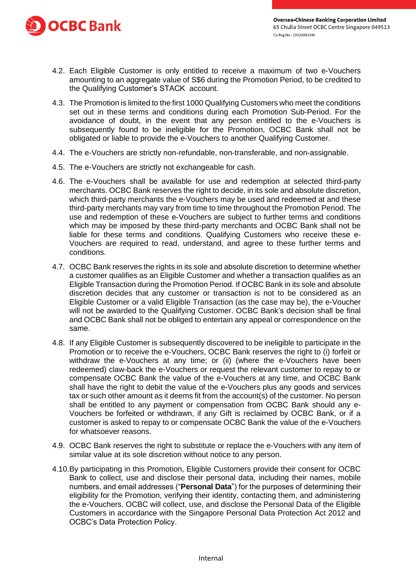

- 4.2. Each Eligible Customer is only entitled to receive a maximum of two e-Vouchers amounting to an aggregate value of S\$6 during the Promotion Period, to be credited to the Qualifying Customer's STACK account.
- 4.3. The Promotion is limited to the first 1000 Qualifying Customers who meet the conditions set out in these terms and conditions during each Promotion Sub-Period. For the avoidance of doubt, in the event that any person entitled to the e-Vouchers is subsequently found to be ineligible for the Promotion, OCBC Bank shall not be obligated or liable to provide the e-Vouchers to another Qualifying Customer.
- 4.4. The e-Vouchers are strictly non-refundable, non-transferable, and non-assignable.
- 4.5. The e-Vouchers are strictly not exchangeable for cash.
- 4.6. The e-Vouchers shall be available for use and redemption at selected third-party merchants. OCBC Bank reserves the right to decide, in its sole and absolute discretion, which third-party merchants the e-Vouchers may be used and redeemed at and these third-party merchants may vary from time to time throughout the Promotion Period. The use and redemption of these e-Vouchers are subject to further terms and conditions which may be imposed by these third-party merchants and OCBC Bank shall not be liable for these terms and conditions. Qualifying Customers who receive these e-Vouchers are required to read, understand, and agree to these further terms and conditions.
- 4.7. OCBC Bank reserves the rights in its sole and absolute discretion to determine whether a customer qualifies as an Eligible Customer and whether a transaction qualifies as an Eligible Transaction during the Promotion Period. If OCBC Bank in its sole and absolute discretion decides that any customer or transaction is not to be considered as an Eligible Customer or a valid Eligible Transaction (as the case may be), the e-Voucher will not be awarded to the Qualifying Customer. OCBC Bank's decision shall be final and OCBC Bank shall not be obliged to entertain any appeal or correspondence on the same.
- 4.8. If any Eligible Customer is subsequently discovered to be ineligible to participate in the Promotion or to receive the e-Vouchers, OCBC Bank reserves the right to (i) forfeit or withdraw the e-Vouchers at any time; or (ii) (where the e-Vouchers have been redeemed) claw-back the e-Vouchers or request the relevant customer to repay to or compensate OCBC Bank the value of the e-Vouchers at any time, and OCBC Bank shall have the right to debit the value of the e-Vouchers plus any goods and services tax or such other amount as it deems fit from the account(s) of the customer. No person shall be entitled to any payment or compensation from OCBC Bank should any e-Vouchers be forfeited or withdrawn, if any Gift is reclaimed by OCBC Bank, or if a customer is asked to repay to or compensate OCBC Bank the value of the e-Vouchers for whatsoever reasons.
- 4.9. OCBC Bank reserves the right to substitute or replace the e-Vouchers with any item of similar value at its sole discretion without notice to any person.
- 4.10.By participating in this Promotion, Eligible Customers provide their consent for OCBC Bank to collect, use and disclose their personal data, including their names, mobile numbers, and email addresses ("**Personal Data**") for the purposes of determining their eligibility for the Promotion, verifying their identity, contacting them, and administering the e-Vouchers. OCBC will collect, use, and disclose the Personal Data of the Eligible Customers in accordance with the Singapore Personal Data Protection Act 2012 and OCBC's Data Protection Policy.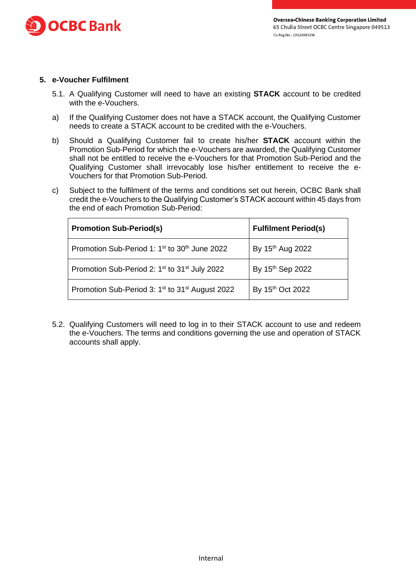

## **5. e-Voucher Fulfilment**

- 5.1. A Qualifying Customer will need to have an existing **STACK** account to be credited with the e-Vouchers.
- a) If the Qualifying Customer does not have a STACK account, the Qualifying Customer needs to create a STACK account to be credited with the e-Vouchers.
- b) Should a Qualifying Customer fail to create his/her **STACK** account within the Promotion Sub-Period for which the e-Vouchers are awarded, the Qualifying Customer shall not be entitled to receive the e-Vouchers for that Promotion Sub-Period and the Qualifying Customer shall irrevocably lose his/her entitlement to receive the e-Vouchers for that Promotion Sub-Period.
- c) Subject to the fulfilment of the terms and conditions set out herein, OCBC Bank shall credit the e-Vouchers to the Qualifying Customer's STACK account within 45 days from the end of each Promotion Sub-Period:

| <b>Promotion Sub-Period(s)</b>                                          | <b>Fulfilment Period(s)</b>  |
|-------------------------------------------------------------------------|------------------------------|
| Promotion Sub-Period 1: 1 <sup>st</sup> to 30 <sup>th</sup> June 2022   | By 15 <sup>th</sup> Aug 2022 |
| Promotion Sub-Period 2: 1 <sup>st</sup> to 31 <sup>st</sup> July 2022   | By 15th Sep 2022             |
| Promotion Sub-Period 3: 1 <sup>st</sup> to 31 <sup>st</sup> August 2022 | By 15th Oct 2022             |

5.2. Qualifying Customers will need to log in to their STACK account to use and redeem the e-Vouchers. The terms and conditions governing the use and operation of STACK accounts shall apply.